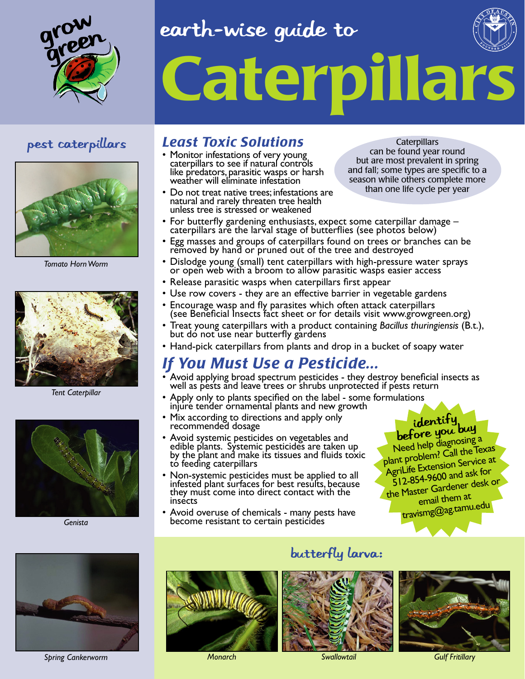

### earth-wise guide to





*Tomato Horn Worm*



*Tent Caterpillar*



*Genista* 



*Spring Cankerworm Monarch Swallowtail Gulf Fritillary*

### pest caterpillars *Least Toxic Solutions*

- Monitor infestations of very young caterpillars to see if natural controls like predators, parasitic wasps or harsh weather will eliminate infestation
- Do not treat native trees; infestations are natural and rarely threaten tree health unless tree is stressed or weakened

**Caterpillars** can be found year round but are most prevalent in spring and fall; some types are specific to a season while others complete more than one life cycle per year

- For butterfly gardening enthusiasts, expect some caterpillar damage caterpillars are the larval stage of butterflies (see photos below)
- Egg masses and groups of caterpillars found on trees or branches can be removed by hand or pruned out of the tree and destroyed
- Dislodge young (small) tent caterpillars with high-pressure water sprays or open web with a broom to allow parasitic wasps easier access
- Release parasitic wasps when caterpillars first appear
- Use row covers they are an effective barrier in vegetable gardens
- Encourage wasp and fly parasites which often attack caterpillars (see Beneficial Insects fact sheet or for details visit www.growgreen.org)
- Treat young caterpillars with a product containing *Bacillus thuringiensis* (B.t.), but do not use near butterfly gardens
- Hand-pick caterpillars from plants and drop in a bucket of soapy water

### *If You Must Use a Pesticide...*

- Avoid applying broad spectrum pesticides they destroy beneficial insects as well as pests and leave trees or shrubs unprotected if pests return
- Apply only to plants specified on the label some formulations injure tender ornamental plants and new growth
- Mix according to directions and apply only recommended dosage
- Avoid systemic pesticides on vegetables and edible plants. Systemic pesticides are taken up by the plant and make its tissues and fluids toxic to feeding caterpillars
- Non-systemic pesticides must be applied to all infested plant surfaces for best results, because they must come into direct contact with the insects
- Avoid overuse of chemicals many pests have become resistant to certain pesticides

## identify<br>before you buy

Need help diagnosing a plant problem? Call the Texas AgriLife Extension Service at 512-854-9600 and ask for the Master Gardener desk or email them at travismg@ag.tamu.edu

### butterfly larva: